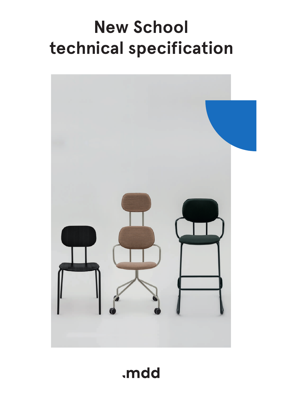# **New School technical specification**



.mdd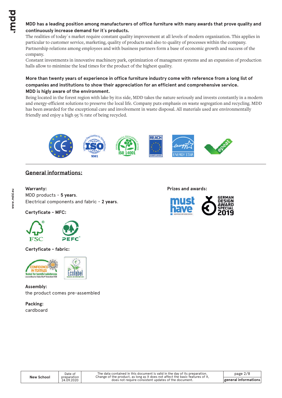# **MDD has a leading position among manufacturers of office furniture with many awards that prove quality and continuously increase demand for it`s products.**

The realities of today`s market require constant quality improvement at all levels of modern organization. This applies in particular to customer service, marketing, quality of products and also to quality of processes within the company. Partnership relations among employees and with business partners form a base of economic growth and success of the company.

Constant investments in innovative machinery park, optimization of managment systems and an expansion of production halls allow to minimize the lead times for the product of the highest quality.

# **More than twenty years of experience in office furniture industry come with reference from a long list of companies and institutions to show their appreciation for an efficient and comprehensive service. MDD is higly aware of the environment.**

Being located in the forest region with lake by it1s side, MDD takes the nature seriously and invests constantly in a modern and energy-efficient solutions to preserve the local life. Company puts emphasis on waste segregation and recycling. MDD has been awarded for the exceptional care and involvement in waste disposal. All materials used are environmentally friendly and enjoy a high 95 % rate of being recycled.



# **General informations:**

**Warranty :** MDD products - **5 years**. Electrical components and fabric - **2 years**.

**Certyficate - MFC:**



**Certyficate - fabric:**



**Assembly:** the product comes pre-assembled

> Date of preparation 24.09.2020

**Packing:** cardboard **Prizes and awards:**

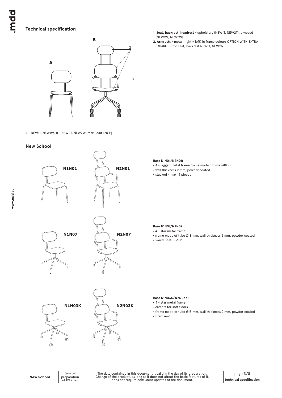# **Technical specification**



A - NEW1T, NEW1W, B - NEW2T, NEW2W; max. load 120 kg

#### **New School**



- **1. Seat, backrest, headrest** upholstery (NEW1T, NEW2T), plywood (NEW1W, NEW2W)
- **2. Armrests** metal (right + left) in frame colour; OPTION WITH EXTRA CHARGE - for seat, backrest NEW1T, NEW1W

#### **Base N1N01/N2N01:**

- 4 legged metal frame frame made of tube Ø18 mm,
- wall thickness 2 mm, powder coated
- \* stacked max. 4 pieces

#### **Base N1N07/N2N07:**

\* 4 - star metal frame

- frame made of tube Ø18 mm, wall thickness 2 mm, powder coated
- \* swivel seat 360°

#### **Base N1N03K/N2N03K:**

 $\cdot$  4 - star metal frame

- **castors for soft floors**
- frame made of tube Ø18 mm, wall thickness 2 mm, powder coated
- fixed seat

**New School**

Date of preparation 24.09.2020

The data contained in this document is valid in the day of its preparation.<br>Change of the product, as long as it does not affect the basic features of it,<br>does not require consistent updates of the document.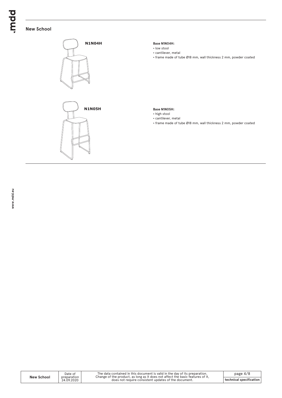# **New School**

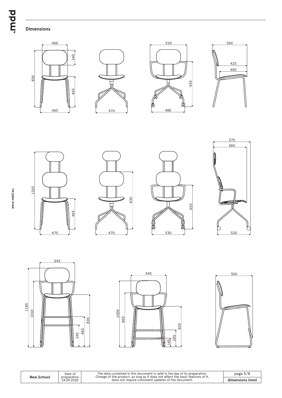# **Dimensions**



















Date of preparation 24.09.2020





The data contained in this document is valid in the day of its preparation.<br>Change of the product, as long as it does not affect the basic features of it,<br>does not require consistent updates of the document.

**dimensions (mm)** page 5/8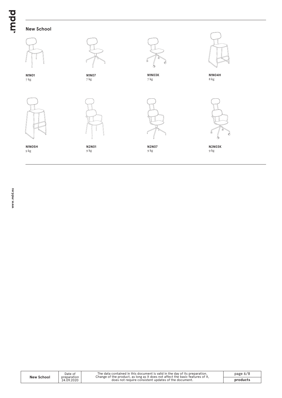# **New School**



Date of preparation 24.09.2020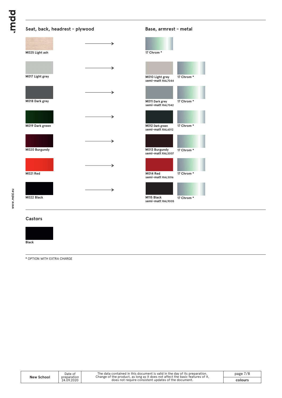| Seat, back, headrest - plywood |   | Base, armrest - metal                |           |
|--------------------------------|---|--------------------------------------|-----------|
| M025 Light ash                 | → | 17 Chrom*                            |           |
| M017 Light grey                | → | M010 Light grey                      | 17 Chrom* |
|                                | → | semi-matt RAL7044                    |           |
| M018 Dark grey                 |   | M011 Dark grey<br>semi-matt RAL7042  | 17 Chrom* |
|                                | → |                                      |           |
| M019 Dark green                |   | M012 Dark green<br>semi-matt RAL6012 | 17 Chrom* |
|                                | → |                                      |           |
| M020 Burgundy                  |   | M013 Burgundy<br>semi-matt RAL3007   | 17 Chrom* |
|                                | → |                                      |           |
| M021 Red                       |   | M014 Red<br>semi-matt RAL3016        | 17 Chrom* |
|                                | → |                                      |           |
| M022 Black                     |   | M115 Black<br>semi-matt RAL9005      | 17 Chrom* |
|                                |   |                                      |           |

#### **Castors**

**Black**

**\*** OPTION WITH EXTRA CHARGE

| New School | Date of<br>preparation | The data contained in this document is valid in the day of its preparation.<br>Change of the product, as long as it does not affect the basic features of it, | page $7/8$ |
|------------|------------------------|---------------------------------------------------------------------------------------------------------------------------------------------------------------|------------|
|            | 24.09.2020             | does not require consistent updates of the document.                                                                                                          | colours    |

**www.mdd.eu**